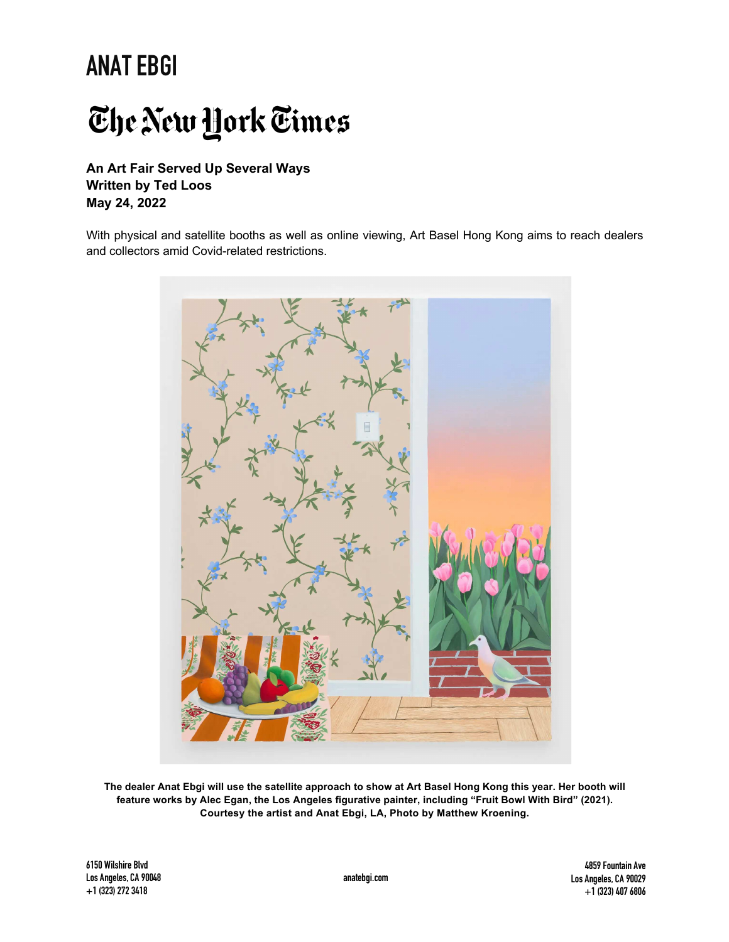# The New York Times

**An Art Fair Served Up Several Ways Written by Ted Loos May 24, 2022**

With physical and satellite booths as well as online viewing, Art Basel Hong Kong aims to reach dealers and collectors amid Covid-related restrictions.



The dealer Anat Ebgi will use the satellite approach to show at Art Basel Hong Kong this year. Her booth will **feature works by Alec Egan, the Los Angeles figurative painter, including "Fruit Bowl With Bird" (2021). Courtesy the artist and Anat Ebgi, LA, Photo by Matthew Kroening.** 

**6150 Wilshire Blvd Los Angeles, CA 90048 +1(323)2723418**

**4859Fountain Ave Los Angeles, CA 90029 +1(323)4076806**

**anatebgi.com**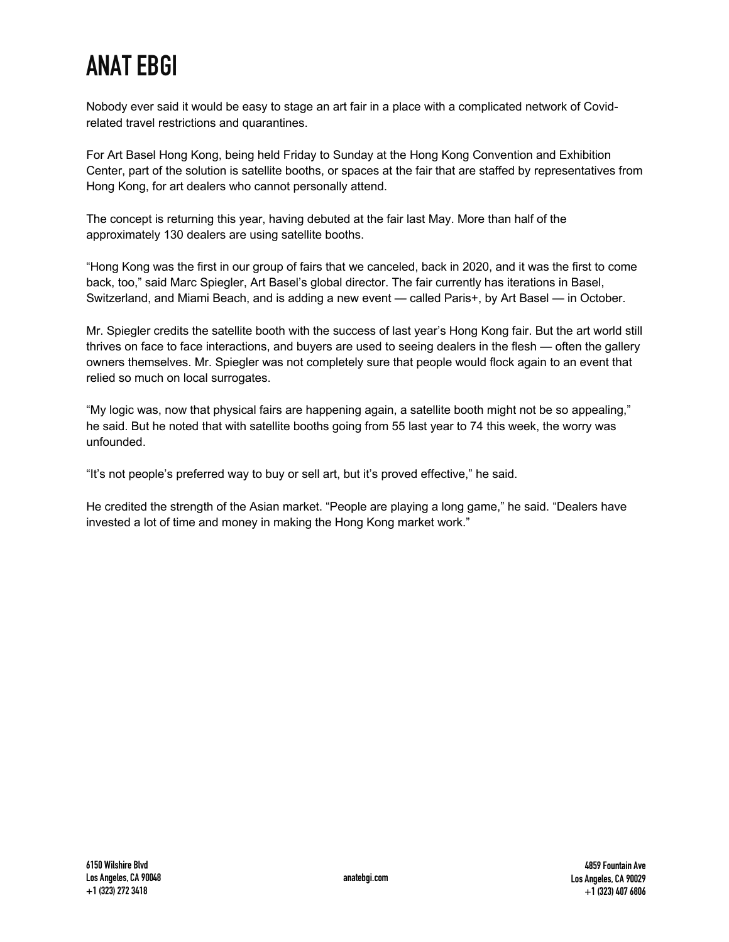Nobody ever said it would be easy to stage an art fair in a place with a complicated network of Covidrelated travel restrictions and quarantines.

For Art Basel Hong Kong, being held Friday to Sunday at the Hong Kong Convention and Exhibition Center, part of the solution is satellite booths, or spaces at the fair that are staffed by representatives from Hong Kong, for art dealers who cannot personally attend.

The concept is returning this year, having debuted at the fair last May. More than half of the approximately 130 dealers are using satellite booths.

"Hong Kong was the first in our group of fairs that we canceled, back in 2020, and it was the first to come back, too," said Marc Spiegler, Art Basel's global director. The fair currently has iterations in Basel, Switzerland, and Miami Beach, and is adding a new event — called Paris+, by Art Basel — in October.

Mr. Spiegler credits the satellite booth with the success of last year's Hong Kong fair. But the art world still thrives on face to face interactions, and buyers are used to seeing dealers in the flesh — often the gallery owners themselves. Mr. Spiegler was not completely sure that people would flock again to an event that relied so much on local surrogates.

"My logic was, now that physical fairs are happening again, a satellite booth might not be so appealing," he said. But he noted that with satellite booths going from 55 last year to 74 this week, the worry was unfounded.

"It's not people's preferred way to buy or sell art, but it's proved effective," he said.

He credited the strength of the Asian market. "People are playing a long game," he said. "Dealers have invested a lot of time and money in making the Hong Kong market work."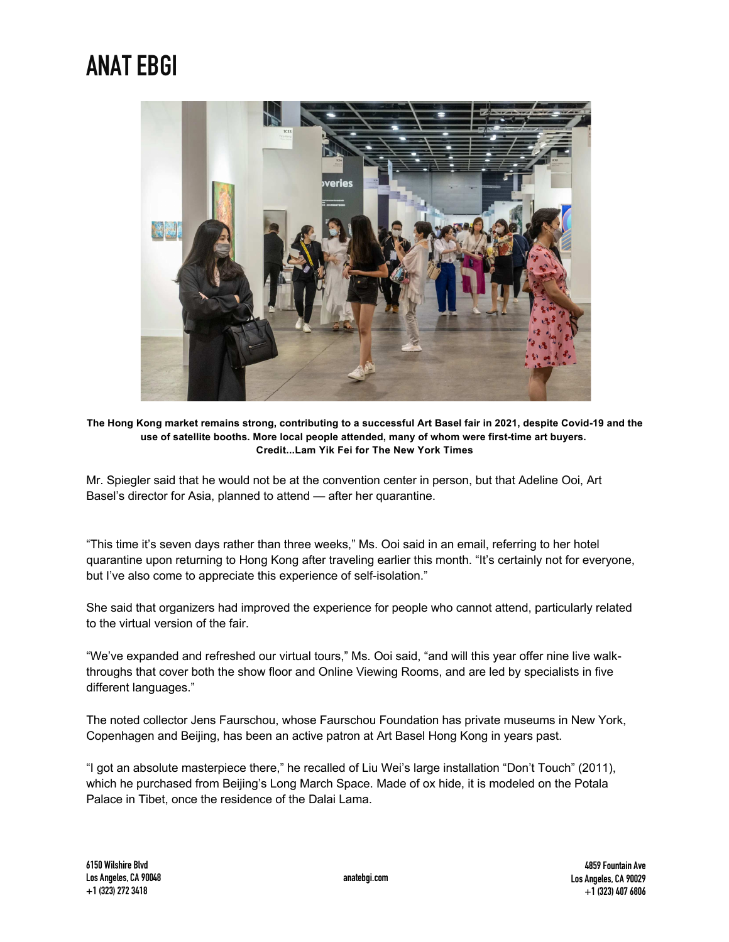

The Hong Kong market remains strong, contributing to a successful Art Basel fair in 2021, despite Covid-19 and the **use of satellite booths. More local people attended, many of whom were first-time art buyers. Credit...Lam Yik Fei for The New York Times**

Mr. Spiegler said that he would not be at the convention center in person, but that Adeline Ooi, Art Basel's director for Asia, planned to attend — after her quarantine.

"This time it's seven days rather than three weeks," Ms. Ooi said in an email, referring to her hotel quarantine upon returning to Hong Kong after traveling earlier this month. "It's certainly not for everyone, but I've also come to appreciate this experience of self-isolation."

She said that organizers had improved the experience for people who cannot attend, particularly related to the virtual version of the fair.

"We've expanded and refreshed our virtual tours," Ms. Ooi said, "and will this year offer nine live walkthroughs that cover both the show floor and Online Viewing Rooms, and are led by specialists in five different languages."

The noted collector Jens Faurschou, whose Faurschou Foundation has private museums in New York, Copenhagen and Beijing, has been an active patron at Art Basel Hong Kong in years past.

"I got an absolute masterpiece there," he recalled of Liu Wei's large installation "Don't Touch" (2011), which he purchased from Beijing's Long March Space. Made of ox hide, it is modeled on the Potala Palace in Tibet, once the residence of the Dalai Lama.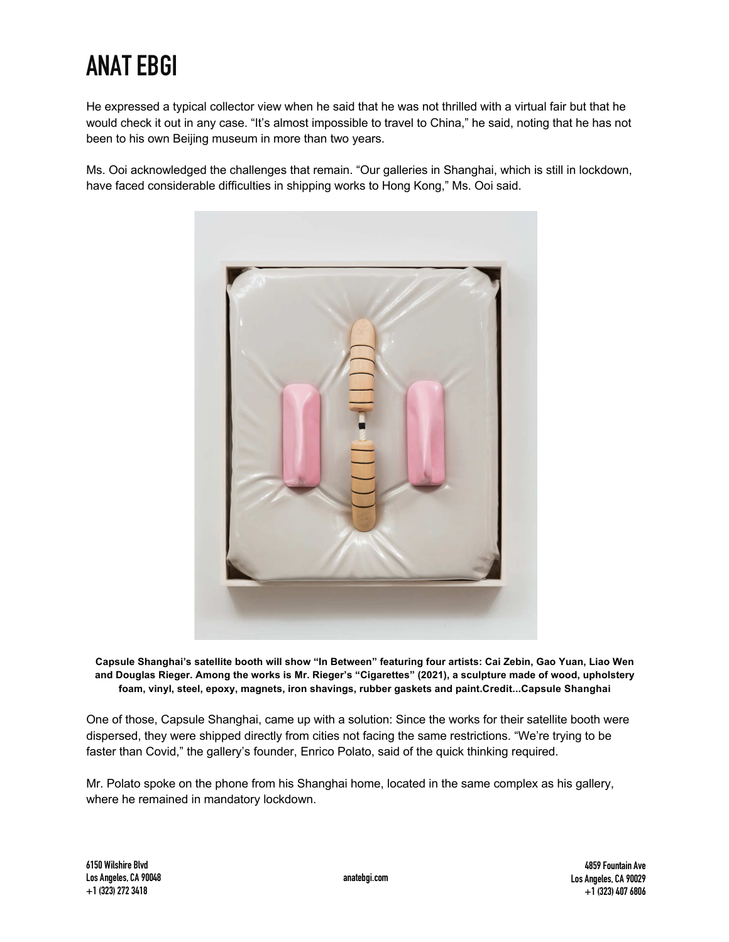He expressed a typical collector view when he said that he was not thrilled with a virtual fair but that he would check it out in any case. "It's almost impossible to travel to China," he said, noting that he has not been to his own Beijing museum in more than two years.

Ms. Ooi acknowledged the challenges that remain. "Our galleries in Shanghai, which is still in lockdown, have faced considerable difficulties in shipping works to Hong Kong," Ms. Ooi said.



Capsule Shanghai's satellite booth will show "In Between" featuring four artists: Cai Zebin, Gao Yuan, Liao Wen **and Douglas Rieger. Among the works is Mr. Rieger's "Cigarettes" (2021), a sculpture made of wood, upholstery foam, vinyl, steel, epoxy, magnets, iron shavings, rubber gaskets and paint.Credit...Capsule Shanghai**

One of those, Capsule Shanghai, came up with a solution: Since the works for their satellite booth were dispersed, they were shipped directly from cities not facing the same restrictions. "We're trying to be faster than Covid," the gallery's founder, Enrico Polato, said of the quick thinking required.

Mr. Polato spoke on the phone from his Shanghai home, located in the same complex as his gallery, where he remained in mandatory lockdown.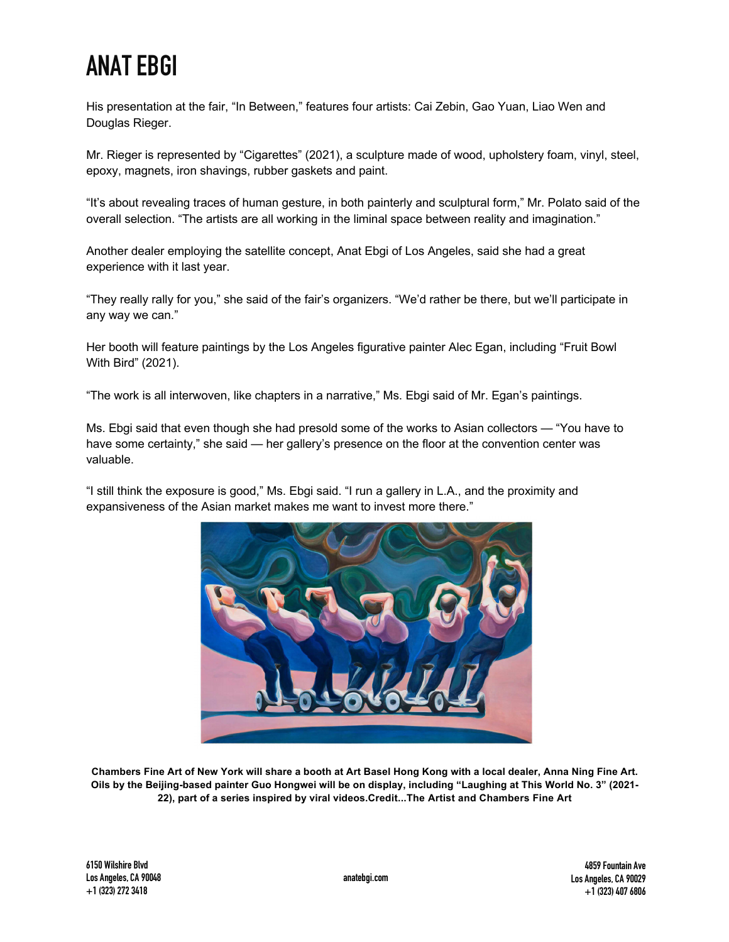His presentation at the fair, "In Between," features four artists: Cai Zebin, Gao Yuan, Liao Wen and Douglas Rieger.

Mr. Rieger is represented by "Cigarettes" (2021), a sculpture made of wood, upholstery foam, vinyl, steel, epoxy, magnets, iron shavings, rubber gaskets and paint.

"It's about revealing traces of human gesture, in both painterly and sculptural form," Mr. Polato said of the overall selection. "The artists are all working in the liminal space between reality and imagination."

Another dealer employing the satellite concept, Anat Ebgi of Los Angeles, said she had a great experience with it last year.

"They really rally for you," she said of the fair's organizers. "We'd rather be there, but we'll participate in any way we can."

Her booth will feature paintings by the Los Angeles figurative painter Alec Egan, including "Fruit Bowl With Bird" (2021).

"The work is all interwoven, like chapters in a narrative," Ms. Ebgi said of Mr. Egan's paintings.

Ms. Ebgi said that even though she had presold some of the works to Asian collectors — "You have to have some certainty," she said — her gallery's presence on the floor at the convention center was valuable.

"I still think the exposure is good," Ms. Ebgi said. "I run a gallery in L.A., and the proximity and expansiveness of the Asian market makes me want to invest more there."



Chambers Fine Art of New York will share a booth at Art Basel Hong Kong with a local dealer, Anna Ning Fine Art. Oils by the Beijing-based painter Guo Hongwei will be on display, including "Laughing at This World No. 3" (2021-**22), part of a series inspired by viral videos.Credit...The Artist and Chambers Fine Art**

**6150 Wilshire Blvd Los Angeles, CA 90048 +1(323)2723418**

**anatebgi.com**